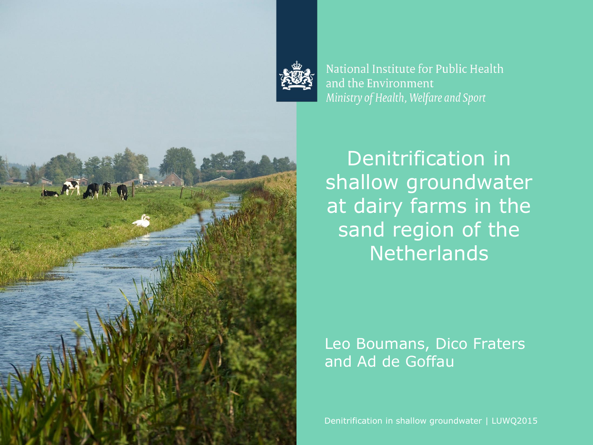

National Institute for Public Health and the Environment Ministry of Health, Welfare and Sport

Denitrification in shallow groundwater at dairy farms in the sand region of the **Netherlands** 

#### Leo Boumans, Dico Fraters and Ad de Goffau

Denitrification in shallow groundwater | LUWQ2015

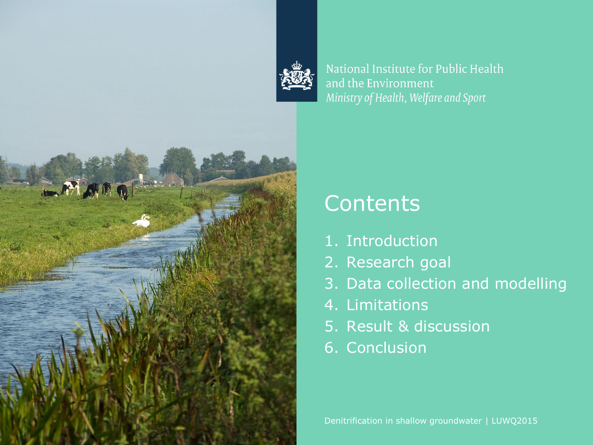

National Institute for Public Health and the Environment Ministry of Health, Welfare and Sport



### **Contents**

- 1. Introduction
- 2. Research goal
- 3. Data collection and modelling
- 4. Limitations
- 5. Result & discussion
- 6. Conclusion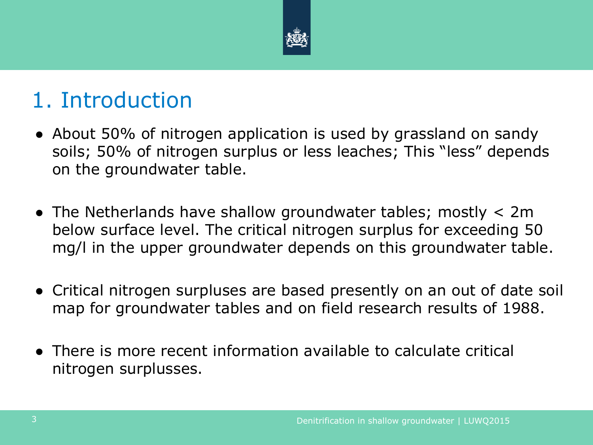

## 1. Introduction

- About 50% of nitrogen application is used by grassland on sandy soils; 50% of nitrogen surplus or less leaches; This "less" depends on the groundwater table.
- The Netherlands have shallow groundwater tables; mostly  $< 2m$ below surface level. The critical nitrogen surplus for exceeding 50 mg/l in the upper groundwater depends on this groundwater table.
- Critical nitrogen surpluses are based presently on an out of date soil map for groundwater tables and on field research results of 1988.
- There is more recent information available to calculate critical nitrogen surplusses.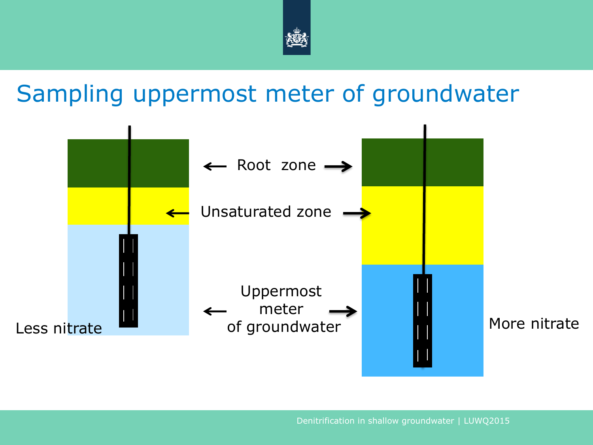

## Sampling uppermost meter of groundwater

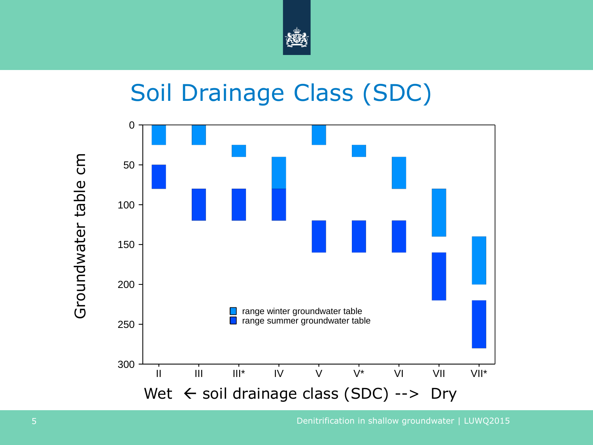

## Soil Drainage Class (SDC)

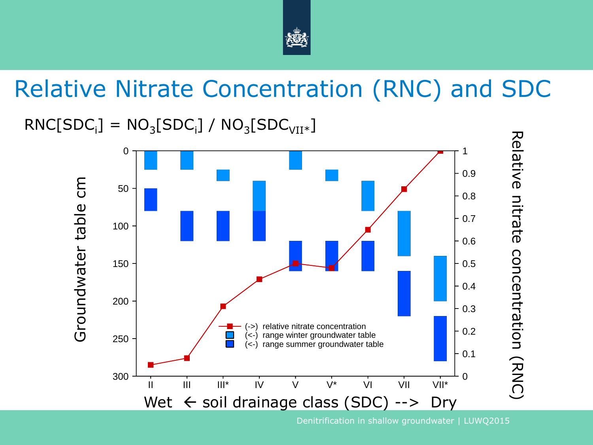

# Relative Nitrate Concentration (RNC) and SDC

#### $\text{RNC}[\text{SDC}_{\text{i}}] = \text{NO}_{3}[\text{SDC}_{\text{i}}] / \text{NO}_{3}[\text{SDC}_{\text{VII}*}]$



Denitrification in shallow groundwater | LUWQ2015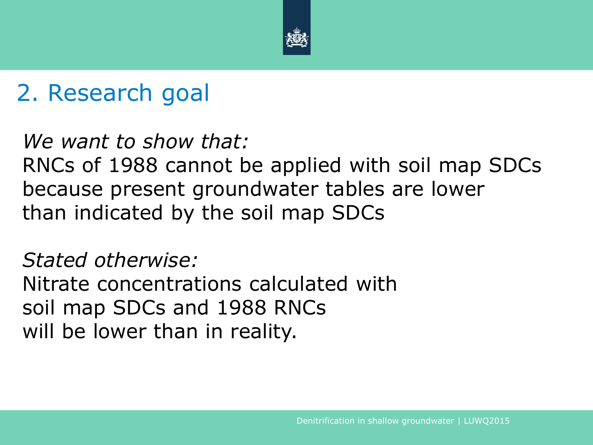

# 2. Research goal

#### *We want to show that:* RNCs of 1988 cannot be applied with soil map SDCs because present groundwater tables are lower

than indicated by the soil map SDCs

#### *Stated otherwise:*

Nitrate concentrations calculated with soil map SDCs and 1988 RNCs will be lower than in reality.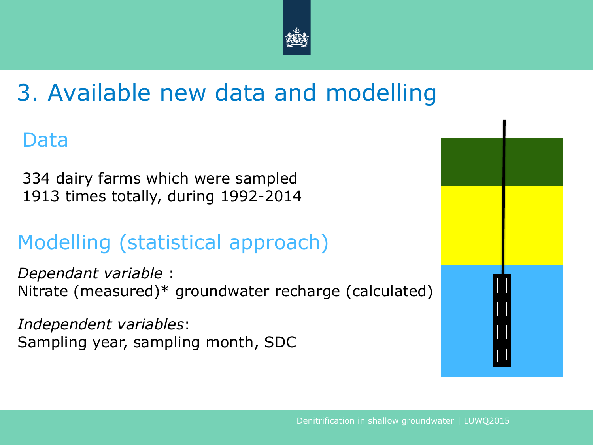

# 3. Available new data and modelling

#### Data

334 dairy farms which were sampled 1913 times totally, during 1992-2014

### Modelling (statistical approach)

*Dependant variable* : Nitrate (measured)\* groundwater recharge (calculated)

*Independent variables*: Sampling year, sampling month, SDC

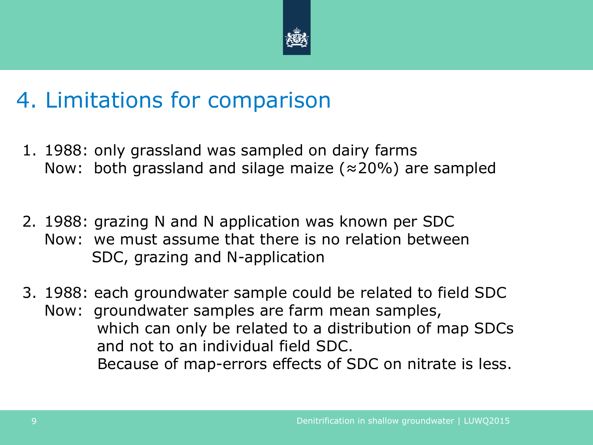

## 4. Limitations for comparison

- 1. 1988: only grassland was sampled on dairy farms Now: both grassland and silage maize ( $\approx$ 20%) are sampled
- 2. 1988: grazing N and N application was known per SDC Now: we must assume that there is no relation between SDC, grazing and N-application
- 3. 1988: each groundwater sample could be related to field SDC Now: groundwater samples are farm mean samples, which can only be related to a distribution of map SDCs and not to an individual field SDC. Because of map-errors effects of SDC on nitrate is less.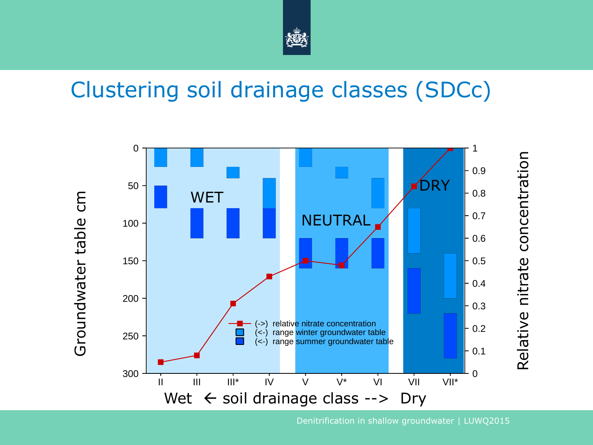

## Clustering soil drainage classes (SDCc)



Denitrification in shallow groundwater | LUWQ2015

Relative nitrate concentration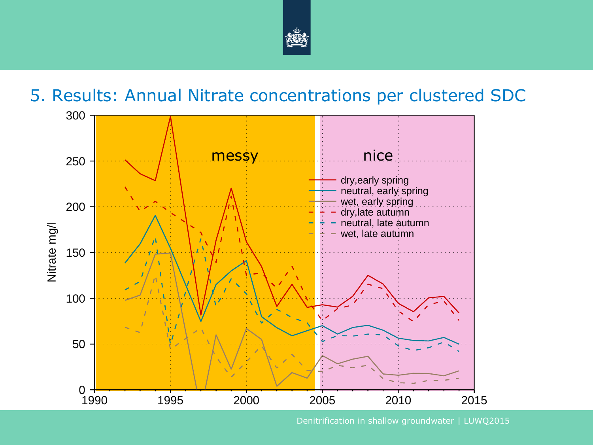

#### 5. Results: Annual Nitrate concentrations per clustered SDC

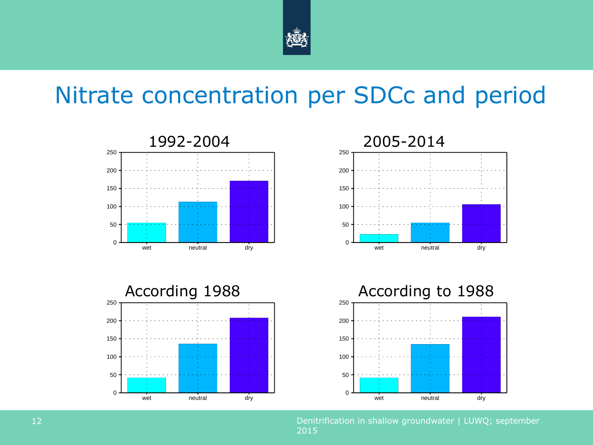

# Nitrate concentration per SDCc and period



Denitrification in shallow groundwater | LUWQ; september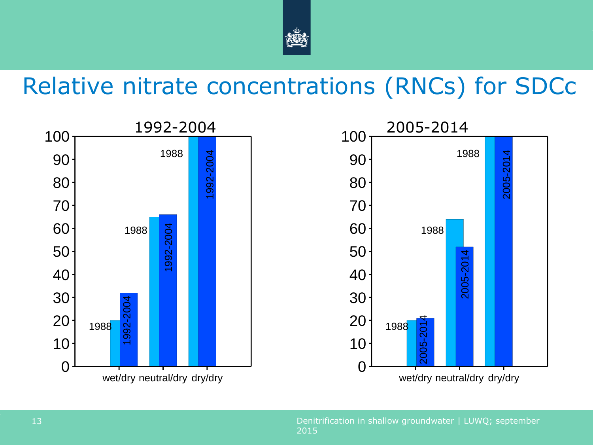

### Relative nitrate concentrations (RNCs) for SDCc

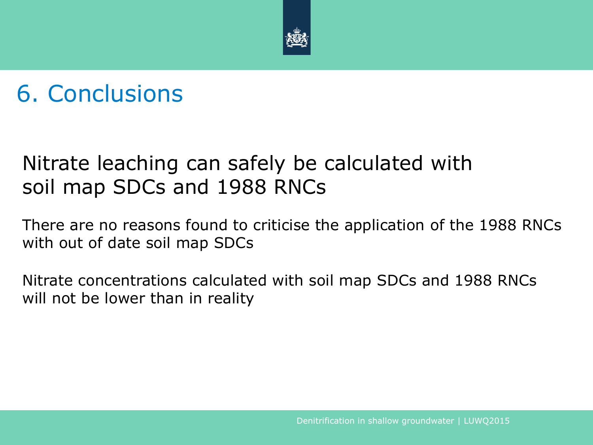

# 6. Conclusions

#### Nitrate leaching can safely be calculated with soil map SDCs and 1988 RNCs

There are no reasons found to criticise the application of the 1988 RNCs with out of date soil map SDCs

Nitrate concentrations calculated with soil map SDCs and 1988 RNCs will not be lower than in reality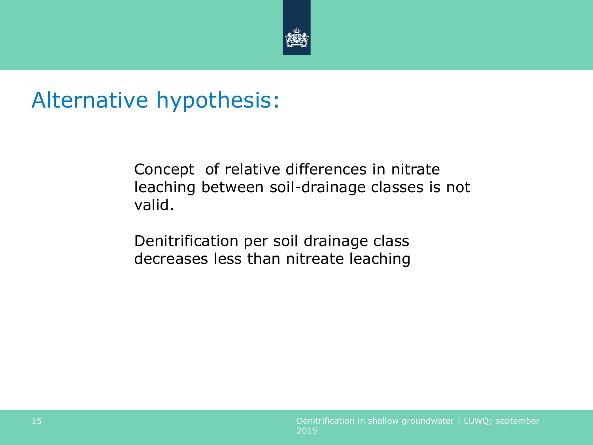

### Alternative hypothesis:

Concept of relative differences in nitrate leaching between soil-drainage classes is not valid.

Denitrification per soil drainage class decreases less than nitreate leaching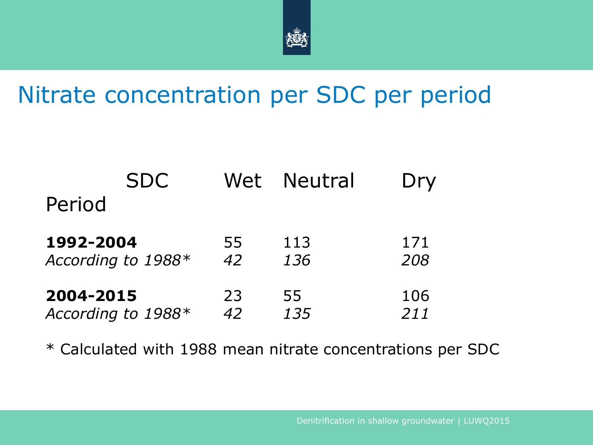

# Nitrate concentration per SDC per period

| <b>SDC</b>         | Wet | <b>Neutral</b> | Dry |
|--------------------|-----|----------------|-----|
| Period             |     |                |     |
| 1992-2004          | 55  | 113            | 171 |
| According to 1988* | 42  | 136            | 208 |
| 2004-2015          | 23  | 55             | 106 |
| According to 1988* | 42  | 135            | 211 |

\* Calculated with 1988 mean nitrate concentrations per SDC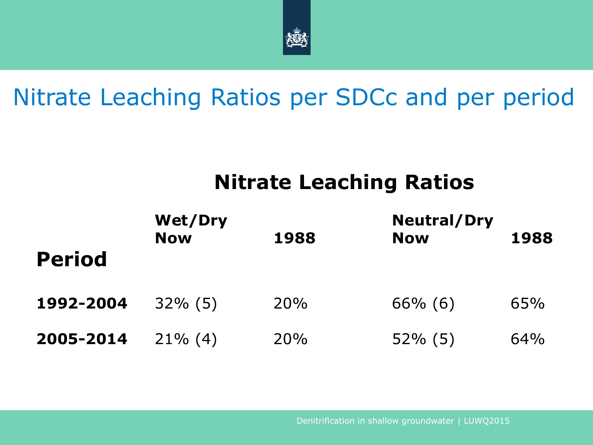

# Nitrate Leaching Ratios per SDCc and per period

#### **Nitrate Leaching Ratios**

| <b>Period</b> | <b>Wet/Dry</b><br><b>Now</b> | 1988 | <b>Neutral/Dry</b><br><b>Now</b> | 1988 |
|---------------|------------------------------|------|----------------------------------|------|
| 1992-2004     | $32\%$ (5)                   | 20%  | $66\%$ (6)                       | 65%  |
| 2005-2014     | $21\%$ (4)                   | 20%  | $52\%$ (5)                       | 64%  |